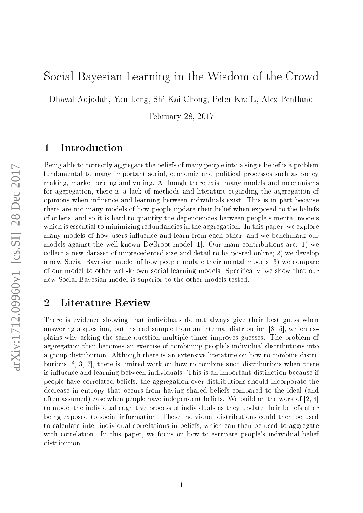# Social Bayesian Learning in the Wisdom of the Crowd

Dhaval Adjodah, Yan Leng, Shi Kai Chong, Peter Krafft, Alex Pentland

February 28, 2017

#### 1 Introduction

Being able to correctly aggregate the beliefs of many people into a single belief is a problem fundamental to many important social, economic and political processes such as policy making, market pricing and voting. Although there exist many models and mechanisms for aggregation, there is a lack of methods and literature regarding the aggregation of opinions when influence and learning between individuals exist. This is in part because there are not many models of how people update their belief when exposed to the beliefs of others, and so it is hard to quantify the dependencies between people's mental models which is essential to minimizing redundancies in the aggregation. In this paper, we explore many models of how users influence and learn from each other, and we benchmark our models against the well-known DeGroot model [1]. Our main contributions are: 1) we collect a new dataset of unprecedented size and detail to be posted online; 2) we develop a new Social Bayesian model of how people update their mental models, 3) we compare of our model to other well-known social learning models. Specifically, we show that our new Social Bayesian model is superior to the other models tested.

### 2 Literature Review

There is evidence showing that individuals do not always give their best guess when answering a question, but instead sample from an internal distribution [8, 5], which explains why asking the same question multiple times improves guesses. The problem of aggregation then becomes an exercise of combining people's individual distributions into a group distribution. Although there is an extensive literature on how to combine distributions [6, 3, 7], there is limited work on how to combine such distributions when there is influence and learning between individuals. This is an important distinction because if people have correlated beliefs, the aggregation over distributions should incorporate the decrease in entropy that occurs from having shared beliefs compared to the ideal (and often assumed) case when people have independent beliefs. We build on the work of [2, 4] to model the individual cognitive process of individuals as they update their beliefs after being exposed to social information. These individual distributions could then be used to calculate inter-individual correlations in beliefs, which can then be used to aggregate with correlation. In this paper, we focus on how to estimate people's individual belief distribution.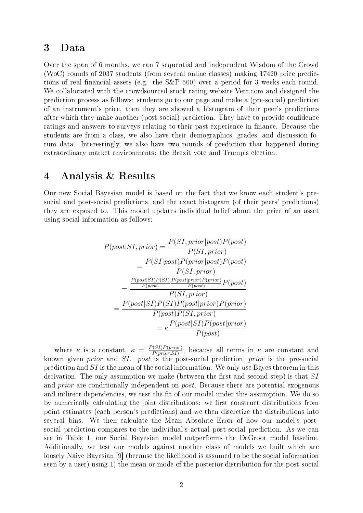### 3 Data

Over the span of 6 months, we ran 7 sequential and independent Wisdom of the Crowd (WoC) rounds of 2037 students (from several online classes) making 17420 price predictions of real financial assets (e.g. the S&P 500) over a period for 3 weeks each round. We collaborated with the crowdsourced stock rating website Vetr.com and designed the prediction process as follows: students go to our page and make a (pre-social) prediction of an instrument's price, then they are showed a histogram of their peer's predictions after which they make another (post-social) prediction. They have to provide confidence ratings and answers to surveys relating to their past experience in finance. Because the students are from a class, we also have their demographics, grades, and discussion forum data. Interestingly, we also have two rounds of prediction that happened during extraordinary market environments: the Brexit vote and Trump's election.

#### 4 Analysis & Results

Our new Social Bayesian model is based on the fact that we know each student's presocial and post-social predictions, and the exact histogram (of their peers' predictions) they are exposed to. This model updates individual belief about the price of an asset using social information as follows:

$$
P(post|SI, prior) = \frac{P(SI, prior|post)P(post)}{P(SI, prior)}
$$
  
= 
$$
\frac{P(SI|post)P(prior|post)P(post)}{P(SI, prior)}
$$
  
= 
$$
\frac{\frac{P(post|SI)P(SI)P(post|prior)P(prior)}{P(post)}}{P(SI, prior)}
$$
  
= 
$$
\frac{P(post|SI)P(SI)P(post|prior)P(prior)}{P(post)P(SI, prior)}
$$
  
= 
$$
\kappa \frac{P(post|SI)P(post|prior)}{P(post)}
$$

where  $\kappa$  is a constant,  $\kappa = \frac{P(SI)P(prior)}{P(mior S I)}$  $\frac{P(SI)P(prior)}{P(prior, SI)}$ , because all terms in  $\kappa$  are constant and known given *prior* and SI. post is the post-social prediction, prior is the pre-social prediction and SI is the mean of the social information. We only use Bayes theorem in this derivation. The only assumption we make (between the first and second step) is that  $SI$ and *prior* are conditionally independent on *post*. Because there are potential exogenous and indirect dependencies, we test the fit of our model under this assumption. We do so by numerically calculating the joint distributions: we first construct distributions from point estimates (each person's predictions) and we then discretize the distributions into several bins. We then calculate the Mean Absolute Error of how our model's postsocial prediction compares to the individual's actual post-social prediction. As we can see in Table 1, our Social Bayesian model outperforms the DeGroot model baseline. Additionally, we test our models against another class of models we built which are loosely Naive Bayesian [9] (because the likelihood is assumed to be the social information seen by a user) using 1) the mean or mode of the posterior distribution for the post-social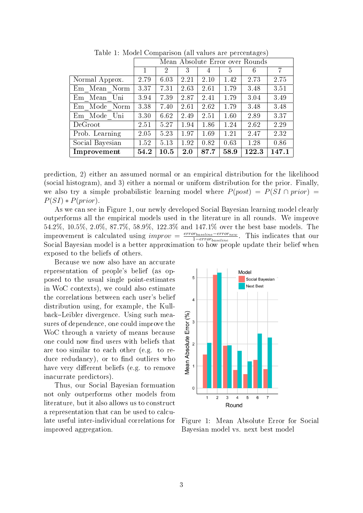|                 | Mean Absolute Error over Rounds |      |      |      |      |       |       |
|-----------------|---------------------------------|------|------|------|------|-------|-------|
|                 | 1                               | 2    | 3    | 4    | 5    | 6     | 7     |
| Normal Approx.  | 2.79                            | 6.03 | 2.21 | 2.10 | 1.42 | 2.73  | 2.75  |
| Em Mean Norm    | 3.37                            | 7.31 | 2.63 | 2.61 | 1.79 | 3.48  | 3.51  |
| Em Mean Uni     | 3.94                            | 7.39 | 2.87 | 2.41 | 1.79 | 3.04  | 3.49  |
| Em Mode Norm    | 3.38                            | 7.40 | 2.61 | 2.62 | 1.79 | 3.48  | 3.48  |
| Em Mode Uni     | 3.30                            | 6.62 | 2.49 | 2.51 | 1.60 | 2.89  | 3.37  |
| DeGroot         | 2.51                            | 5.27 | 1.94 | 1.86 | 1.24 | 2.62  | 2.29  |
| Prob. Learning  | 2.05                            | 5.23 | 1.97 | 1.69 | 1.21 | 2.47  | 2.32  |
| Social Bayesian | 1.52                            | 5.13 | 1.92 | 0.82 | 0.63 | 1.28  | 0.86  |
| Improvement     | 54.2                            | 10.5 | 2.0  | 87.7 | 58.9 | 122.3 | 147.1 |

Table 1: Model Comparison (all values are percentages)

prediction, 2) either an assumed normal or an empirical distribution for the likelihood (social histogram), and 3) either a normal or uniform distribution for the prior. Finally, we also try a simple probabilistic learning model where  $P(post) = P(SI \cap prior)$  $P(SI) * P(prior)$ .

As we can see in Figure 1, our newly developed Social Bayesian learning model clearly outperforms all the empirical models used in the literature in all rounds. We improve 54.2%, 10.5%, 2.0%, 87.7%, 58.9%, 122.3% and 147.1% over the best base models. The improvement is calculated using  $improv = \frac{error_{baseline} - error_{new}}{1 - error_{new}}$  $\frac{m_{baseline} = error_{new}}{1 - error_{baseline}}$ . This indicates that our Social Bayesian model is a better approximation to how people update their belief when exposed to the beliefs of others.

Because we now also have an accurate representation of people's belief (as opposed to the usual single point-estimates in WoC contexts), we could also estimate the correlations between each user's belief distribution using, for example, the Kullback-Leibler divergence. Using such measures of dependence, one could improve the WoC through a variety of means because one could now find users with beliefs that are too similar to each other (e.g. to reduce redudancy), or to find outliers who have very different beliefs (e.g. to remove inacurrate predictors).

Thus, our Social Bayesian formuation not only outperforms other models from literature, but it also allows us to construct a representation that can be used to calculate useful inter-individual correlations for improved aggregation.



Figure 1: Mean Absolute Error for Social Bayesian model vs. next best model